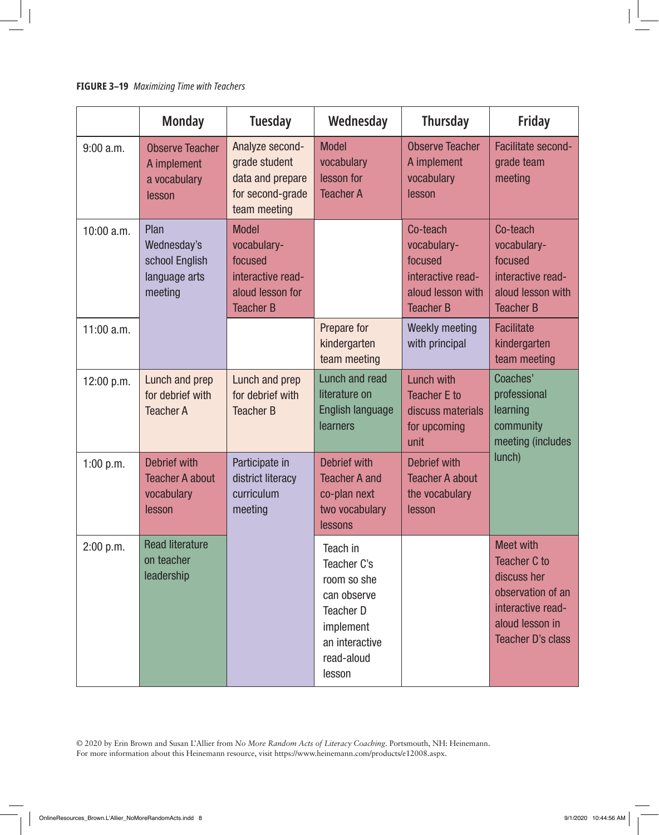## **FIGURE 3–19** *Maximizing Time with Teachers*

|              | <b>Monday</b>                                                         | <b>Tuesday</b>                                                                                      | Wednesday                                                                                                                 | <b>Thursday</b>                                                                                  | <b>Friday</b>                                                                                                                                   |
|--------------|-----------------------------------------------------------------------|-----------------------------------------------------------------------------------------------------|---------------------------------------------------------------------------------------------------------------------------|--------------------------------------------------------------------------------------------------|-------------------------------------------------------------------------------------------------------------------------------------------------|
| $9:00$ a.m.  | <b>Observe Teacher</b><br>A implement<br>a vocabulary<br>lesson       | Analyze second-<br>grade student<br>data and prepare<br>for second-grade<br>team meeting            | <b>Model</b><br>vocabulary<br>lesson for<br><b>Teacher A</b>                                                              | <b>Observe Teacher</b><br>A implement<br>vocabulary<br>lesson                                    | <b>Facilitate second-</b><br>grade team<br>meeting                                                                                              |
| 10:00 a.m.   | Plan<br>Wednesday's<br>school English<br>language arts<br>meeting     | <b>Model</b><br>vocabulary-<br>focused<br>interactive read-<br>aloud lesson for<br><b>Teacher B</b> |                                                                                                                           | Co-teach<br>vocabulary-<br>focused<br>interactive read-<br>aloud lesson with<br><b>Teacher B</b> | Co-teach<br>vocabulary-<br>focused<br>interactive read-<br>aloud lesson with<br><b>Teacher B</b>                                                |
| $11:00$ a.m. |                                                                       |                                                                                                     | Prepare for<br>kindergarten<br>team meeting                                                                               | Weekly meeting<br>with principal                                                                 | <b>Facilitate</b><br>kindergarten<br>team meeting                                                                                               |
| 12:00 p.m.   | Lunch and prep<br>for debrief with<br><b>Teacher A</b>                | Lunch and prep<br>for debrief with<br><b>Teacher B</b>                                              | Lunch and read<br>literature on<br><b>English language</b><br>learners                                                    | <b>Lunch with</b><br><b>Teacher E to</b><br>discuss materials<br>for upcoming<br>unit            | Coaches'<br>professional<br>learning<br>community<br>meeting (includes                                                                          |
| 1:00 $p.m.$  | <b>Debrief with</b><br><b>Teacher A about</b><br>vocabulary<br>lesson | Participate in<br>district literacy<br>curriculum<br>meeting                                        | <b>Debrief with</b><br><b>Teacher A and</b><br>co-plan next<br>two vocabulary<br>lessons                                  | <b>Debrief with</b><br><b>Teacher A about</b><br>the vocabulary<br>lesson                        | lunch)                                                                                                                                          |
| 2:00 p.m.    | <b>Read literature</b><br>on teacher<br>leadership                    |                                                                                                     | Teach in<br>Teacher C's<br>room so she<br>can observe<br>Teacher D<br>implement<br>an interactive<br>read-aloud<br>lesson |                                                                                                  | <b>Meet with</b><br><b>Teacher C to</b><br>discuss her<br>observation of an<br>interactive read-<br>aloud lesson in<br><b>Teacher D's class</b> |